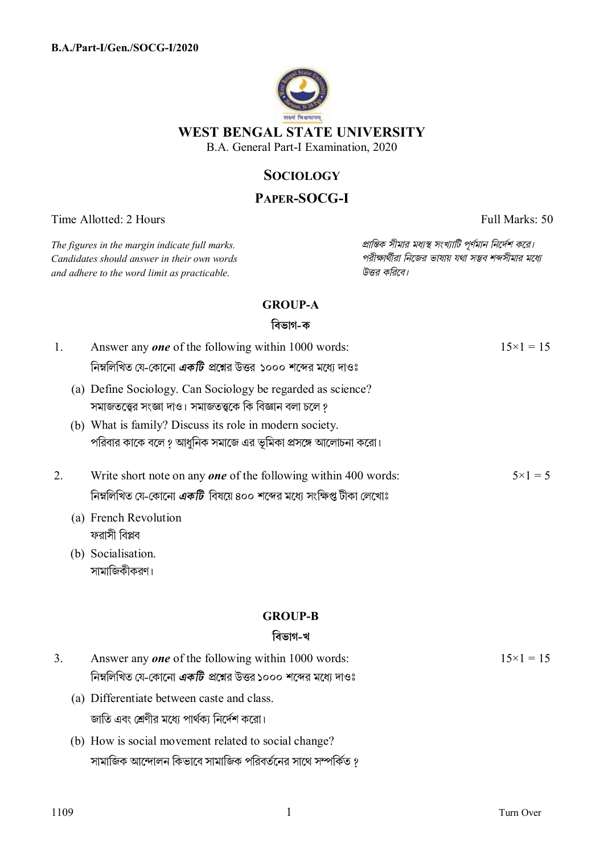

**WEST BENGAL STATE UNIVERSITY** 

B.A. General Part-I Examination, 2020

# **SOCIOLOGY**

# **PAPER-SOCG-I**

Time Allotted: 2 Hours Full Marks: 50

15×1 = 15

 $C$ *andidates should answer in their own words and adhere to the word limit as practicable. উtর কিরেব।*

*The figures in the margin indicate full marks. pািnক সীমার মধ°s সংখ°ািট পূণমান িনেদশ কের।*

# **GROUP-A**

## **িবভাগ-ক**

| 1.             | Answer any <b>one</b> of the following within 1000 words:                   | $15 \times 1 = 15$ |
|----------------|-----------------------------------------------------------------------------|--------------------|
|                | নিম্নলিখিত যে-কোনো <i>একটি প্র</i> শ্নের উত্তর ১০০০ শব্দের মধ্যে দাওঃ       |                    |
|                | (a) Define Sociology. Can Sociology be regarded as science?                 |                    |
|                | সমাজতত্ত্বের সংজ্ঞা দাও। সমাজতত্ত্বকে কি বিজ্ঞান বলা চলে ?                  |                    |
|                | (b) What is family? Discuss its role in modern society.                     |                    |
|                | পরিবার কাকে বলে ? আধুনিক সমাজে এর ভূমিকা প্রসঙ্গে আলোচনা করো।               |                    |
| 2.             | Write short note on any one of the following within 400 words:              | $5 \times 1 = 5$   |
|                | নিম্নলিখিত যে-কোনো <i>একটি</i> বিষয়ে ৪০০ শব্দের মধ্যে সংক্ষিপ্ত টীকা লেখোঃ |                    |
|                | (a) French Revolution                                                       |                    |
|                | ফরাসী বিপ্লব                                                                |                    |
|                | (b) Socialisation.                                                          |                    |
|                | সামাজিকীকরণ।                                                                |                    |
|                | <b>GROUP-B</b>                                                              |                    |
|                | বিভাগ-খ                                                                     |                    |
|                |                                                                             |                    |
| 3 <sub>1</sub> | Answer any <b>one</b> of the following within 1000 words:                   | $15 \times 1 = 15$ |
|                | নিম্নলিখিত যে-কোনো <i>একটি প্র</i> শ্নের উত্তর ১০০০ শব্দের মধ্যে দাওঃ       |                    |
|                | (a) Differentiate between caste and class.                                  |                    |
|                | জাতি এবং শ্রেণীর মধ্যে পার্থক্য নির্দেশ করো।                                |                    |
|                | (b) How is social movement related to social change?                        |                    |
|                |                                                                             |                    |